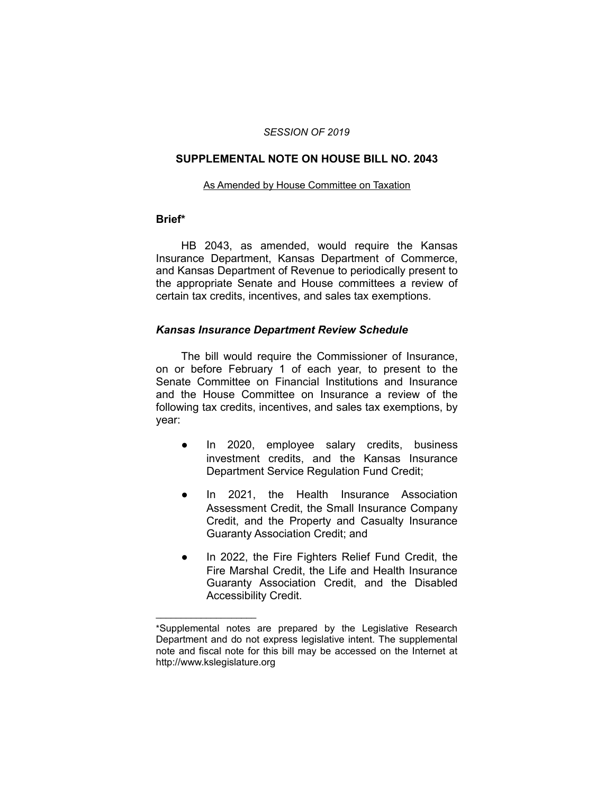#### *SESSION OF 2019*

#### **SUPPLEMENTAL NOTE ON HOUSE BILL NO. 2043**

#### As Amended by House Committee on Taxation

#### **Brief\***

HB 2043, as amended, would require the Kansas Insurance Department, Kansas Department of Commerce, and Kansas Department of Revenue to periodically present to the appropriate Senate and House committees a review of certain tax credits, incentives, and sales tax exemptions.

### *Kansas Insurance Department Review Schedule*

The bill would require the Commissioner of Insurance, on or before February 1 of each year, to present to the Senate Committee on Financial Institutions and Insurance and the House Committee on Insurance a review of the following tax credits, incentives, and sales tax exemptions, by year:

- In 2020, employee salary credits, business investment credits, and the Kansas Insurance Department Service Regulation Fund Credit;
- In 2021, the Health Insurance Association Assessment Credit, the Small Insurance Company Credit, and the Property and Casualty Insurance Guaranty Association Credit; and
- In 2022, the Fire Fighters Relief Fund Credit, the Fire Marshal Credit, the Life and Health Insurance Guaranty Association Credit, and the Disabled Accessibility Credit.

 $\overline{\phantom{a}}$  , where  $\overline{\phantom{a}}$ 

<sup>\*</sup>Supplemental notes are prepared by the Legislative Research Department and do not express legislative intent. The supplemental note and fiscal note for this bill may be accessed on the Internet at http://www.kslegislature.org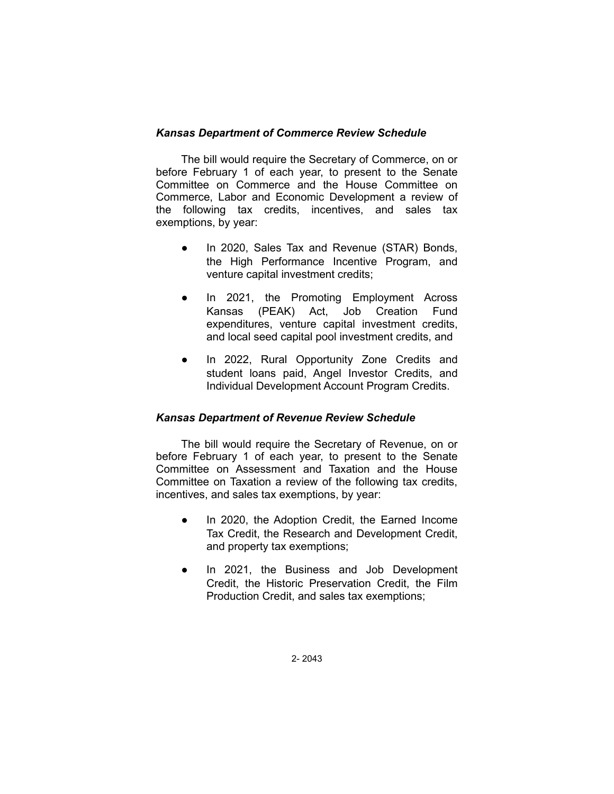## *Kansas Department of Commerce Review Schedule*

The bill would require the Secretary of Commerce, on or before February 1 of each year, to present to the Senate Committee on Commerce and the House Committee on Commerce, Labor and Economic Development a review of the following tax credits, incentives, and sales tax exemptions, by year:

- In 2020, Sales Tax and Revenue (STAR) Bonds, the High Performance Incentive Program, and venture capital investment credits;
- In 2021, the Promoting Employment Across Kansas (PEAK) Act, Job Creation Fund expenditures, venture capital investment credits, and local seed capital pool investment credits, and
- In 2022, Rural Opportunity Zone Credits and student loans paid, Angel Investor Credits, and Individual Development Account Program Credits.

### *Kansas Department of Revenue Review Schedule*

The bill would require the Secretary of Revenue, on or before February 1 of each year, to present to the Senate Committee on Assessment and Taxation and the House Committee on Taxation a review of the following tax credits, incentives, and sales tax exemptions, by year:

- In 2020, the Adoption Credit, the Earned Income Tax Credit, the Research and Development Credit, and property tax exemptions;
- In 2021, the Business and Job Development Credit, the Historic Preservation Credit, the Film Production Credit, and sales tax exemptions;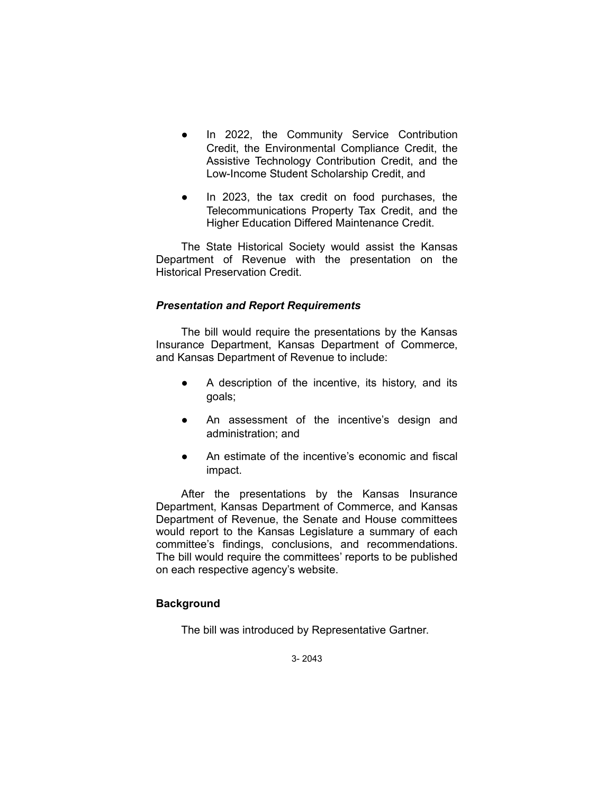- In 2022, the Community Service Contribution Credit, the Environmental Compliance Credit, the Assistive Technology Contribution Credit, and the Low-Income Student Scholarship Credit, and
- In 2023, the tax credit on food purchases, the Telecommunications Property Tax Credit, and the Higher Education Differed Maintenance Credit.

The State Historical Society would assist the Kansas Department of Revenue with the presentation on the Historical Preservation Credit.

## *Presentation and Report Requirements*

The bill would require the presentations by the Kansas Insurance Department, Kansas Department of Commerce, and Kansas Department of Revenue to include:

- A description of the incentive, its history, and its goals;
- An assessment of the incentive's design and administration; and
- An estimate of the incentive's economic and fiscal impact.

After the presentations by the Kansas Insurance Department, Kansas Department of Commerce, and Kansas Department of Revenue, the Senate and House committees would report to the Kansas Legislature a summary of each committee's findings, conclusions, and recommendations. The bill would require the committees' reports to be published on each respective agency's website.

# **Background**

The bill was introduced by Representative Gartner.